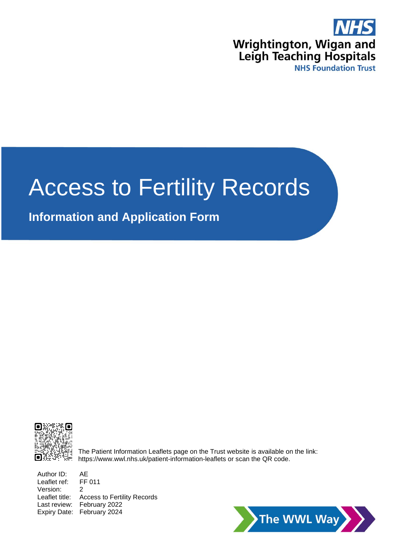

# Access to Fertility Records

# **Information and Application Form**



The Patient Information Leaflets page on the Trust website is available on the link: https://www.wwl.nhs.uk/patient-information-leaflets or scan the QR code.

Author ID: AE Leaflet ref: FF 011 Version: 2 Leaflet title: Access to Fertility Records Last review: February 2022 Expiry Date: February 2024

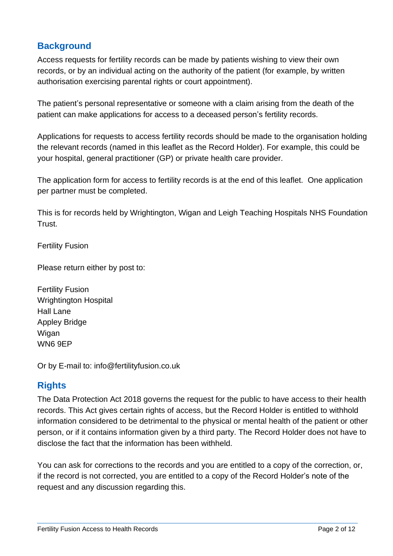## **Background**

Access requests for fertility records can be made by patients wishing to view their own records, or by an individual acting on the authority of the patient (for example, by written authorisation exercising parental rights or court appointment).

The patient's personal representative or someone with a claim arising from the death of the patient can make applications for access to a deceased person's fertility records.

Applications for requests to access fertility records should be made to the organisation holding the relevant records (named in this leaflet as the Record Holder). For example, this could be your hospital, general practitioner (GP) or private health care provider.

The application form for access to fertility records is at the end of this leaflet. One application per partner must be completed.

This is for records held by Wrightington, Wigan and Leigh Teaching Hospitals NHS Foundation Trust.

Fertility Fusion

Please return either by post to:

Fertility Fusion Wrightington Hospital Hall Lane Appley Bridge Wigan WN6 9EP

Or by E-mail to: [info@fertilityfusion.co.uk](mailto:info@fertilityfusion.co.uk)

## **Rights**

The Data Protection Act 2018 governs the request for the public to have access to their health records. This Act gives certain rights of access, but the Record Holder is entitled to withhold information considered to be detrimental to the physical or mental health of the patient or other person, or if it contains information given by a third party. The Record Holder does not have to disclose the fact that the information has been withheld.

You can ask for corrections to the records and you are entitled to a copy of the correction, or, if the record is not corrected, you are entitled to a copy of the Record Holder's note of the request and any discussion regarding this.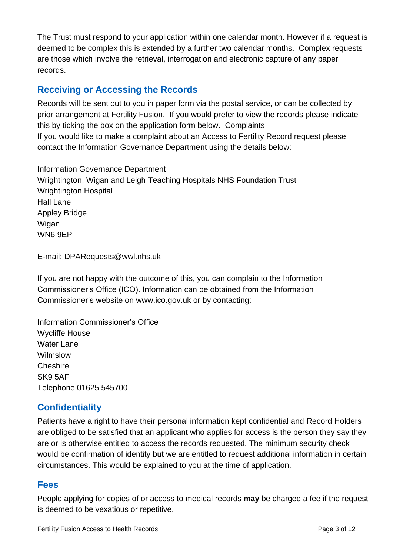The Trust must respond to your application within one calendar month. However if a request is deemed to be complex this is extended by a further two calendar months. Complex requests are those which involve the retrieval, interrogation and electronic capture of any paper records.

## **Receiving or Accessing the Records**

Records will be sent out to you in paper form via the postal service, or can be collected by prior arrangement at Fertility Fusion. If you would prefer to view the records please indicate this by ticking the box on the application form below. Complaints If you would like to make a complaint about an Access to Fertility Record request please contact the Information Governance Department using the details below:

Information Governance Department Wrightington, Wigan and Leigh Teaching Hospitals NHS Foundation Trust Wrightington Hospital Hall Lane Appley Bridge Wigan WN6 9EP

E-mail: [DPARequests@wwl.nhs.uk](mailto:DPARequests@wwl.nhs.uk)

If you are not happy with the outcome of this, you can complain to the Information Commissioner's Office (ICO). Information can be obtained from the Information Commissioner's website on www.ico.gov.uk or by contacting:

Information Commissioner's Office Wycliffe House Water Lane Wilmslow Cheshire SK9 5AF Telephone 01625 545700

## **Confidentiality**

Patients have a right to have their personal information kept confidential and Record Holders are obliged to be satisfied that an applicant who applies for access is the person they say they are or is otherwise entitled to access the records requested. The minimum security check would be confirmation of identity but we are entitled to request additional information in certain circumstances. This would be explained to you at the time of application.

## **Fees**

People applying for copies of or access to medical records **may** be charged a fee if the request is deemed to be vexatious or repetitive.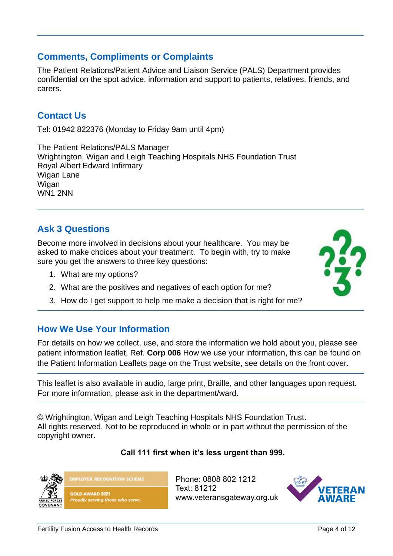## **Comments, Compliments or Complaints**

The Patient Relations/Patient Advice and Liaison Service (PALS) Department provides confidential on the spot advice, information and support to patients, relatives, friends, and carers.

## **Contact Us**

Tel: 01942 822376 (Monday to Friday 9am until 4pm)

The Patient Relations/PALS Manager Wrightington, Wigan and Leigh Teaching Hospitals NHS Foundation Trust Royal Albert Edward Infirmary Wigan Lane Wigan WN1 2NN

## **Ask 3 Questions**

Become more involved in decisions about your healthcare. You may be asked to make choices about your treatment. To begin with, try to make sure you get the answers to three key questions:

- 1. What are my options?
- 2. What are the positives and negatives of each option for me?
- 3. How do I get support to help me make a decision that is right for me?

## **How We Use Your Information**

For details on how we collect, use, and store the information we hold about you, please see patient information leaflet, Ref. **Corp 006** How we use your information, this can be found on the Patient Information Leaflets page on the Trust website, see details on the front cover.

This leaflet is also available in audio, large print, Braille, and other languages upon request. For more information, please ask in the department/ward.

© Wrightington, Wigan and Leigh Teaching Hospitals NHS Foundation Trust. All rights reserved. Not to be reproduced in whole or in part without the permission of the copyright owner.

#### **Call 111 first when it's less urgent than 999.**

Phone: 0808 802 1212 Text: 81212 www.veteransgateway.org.uk







**GOLD AWARD 2021** Proudly serving those who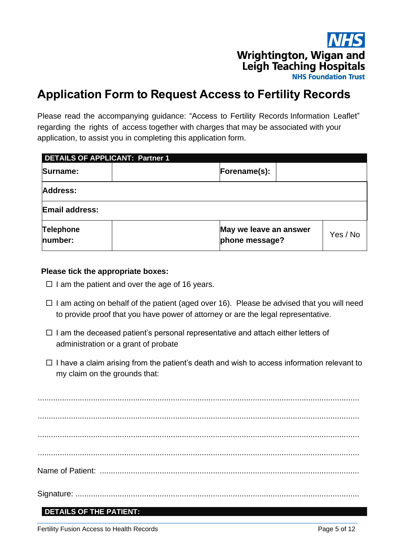Wrightington, Wigan and **Leigh Teaching Hospitals NHS Foundation Trust** 

# **Application Form to Request Access to Fertility Records**

Please read the accompanying guidance: "Access to Fertility Records Information Leaflet" regarding the rights of access together with charges that may be associated with your application, to assist you in completing this application form.

| <b>DETAILS OF APPLICANT: Partner 1</b> |                                          |          |  |  |  |  |
|----------------------------------------|------------------------------------------|----------|--|--|--|--|
| Surname:                               | Forename(s):                             |          |  |  |  |  |
| <b>Address:</b>                        |                                          |          |  |  |  |  |
| <b>Email address:</b>                  |                                          |          |  |  |  |  |
| <b>Telephone</b><br>number:            | May we leave an answer<br>phone message? | Yes / No |  |  |  |  |

#### **Please tick the appropriate boxes:**

- $\Box$  I am the patient and over the age of 16 years.
- $\Box$  I am acting on behalf of the patient (aged over 16). Please be advised that you will need to provide proof that you have power of attorney or are the legal representative.
- $\Box$  I am the deceased patient's personal representative and attach either letters of administration or a grant of probate
- $\Box$  I have a claim arising from the patient's death and wish to access information relevant to my claim on the grounds that:

................................................................................................................................................. ................................................................................................................................................. ................................................................................................................................................. ................................................................................................................................................. Name of Patient: ..................................................................................................................... Signature: ................................................................................................................................

#### **DETAILS OF THE PATIENT:**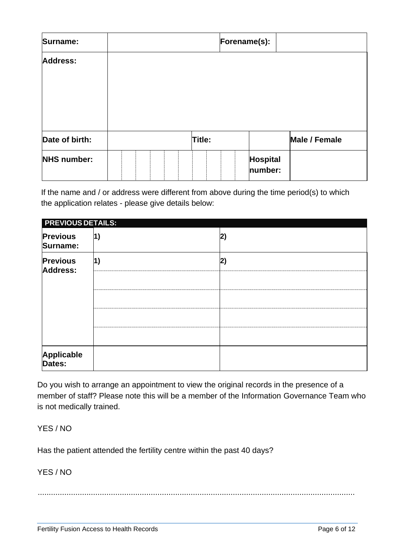| Surname:           |  |  |        | Forename(s): |                            |                      |
|--------------------|--|--|--------|--------------|----------------------------|----------------------|
| Address:           |  |  |        |              |                            |                      |
| Date of birth:     |  |  | Title: |              |                            | <b>Male / Female</b> |
| <b>NHS number:</b> |  |  |        |              | <b>Hospital</b><br>number: |                      |

If the name and / or address were different from above during the time period(s) to which the application relates - please give details below:

| <b>PREVIOUS DETAILS:</b>    |    |    |
|-----------------------------|----|----|
| <b>Previous</b><br>Surname: | 1) | 2) |
| <b>Previous</b><br>Address: | 1) | 2) |
|                             |    |    |
|                             |    |    |
| Applicable<br>Dates:        |    |    |

Do you wish to arrange an appointment to view the original records in the presence of a member of staff? Please note this will be a member of the Information Governance Team who is not medically trained.

YES / NO

Has the patient attended the fertility centre within the past 40 days?

YES / NO

...............................................................................................................................................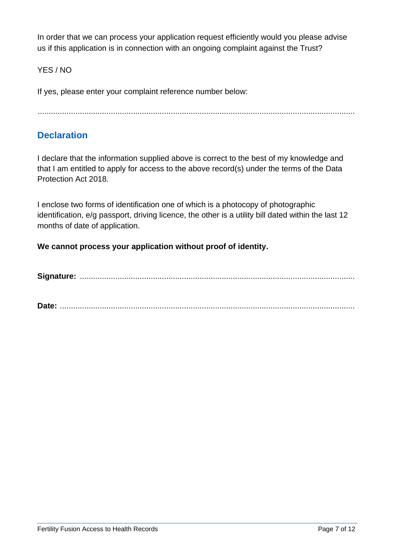In order that we can process your application request efficiently would you please advise us if this application is in connection with an ongoing complaint against the Trust?

YES / NO

If yes, please enter your complaint reference number below:

...............................................................................................................................................

## **Declaration**

I declare that the information supplied above is correct to the best of my knowledge and that I am entitled to apply for access to the above record(s) under the terms of the Data Protection Act 2018.

I enclose two forms of identification one of which is a photocopy of photographic identification, e/g passport, driving licence, the other is a utility bill dated within the last 12 months of date of application.

**We cannot process your application without proof of identity.**

**Signature:** ............................................................................................................................

**Date:** .....................................................................................................................................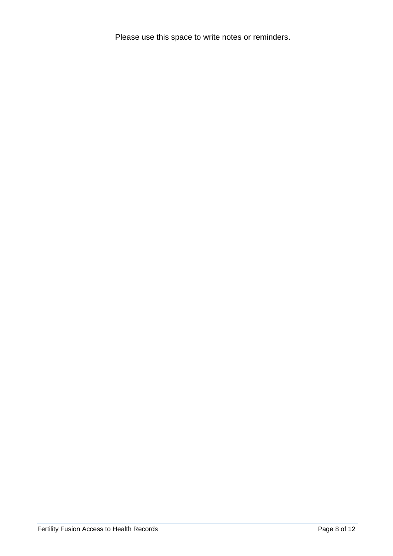Please use this space to write notes or reminders.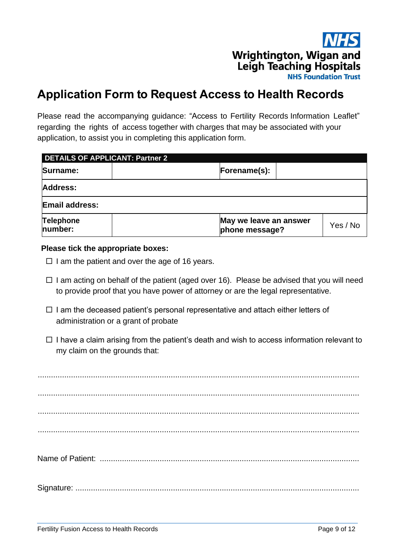

# **Application Form to Request Access to Health Records**

Please read the accompanying guidance: "Access to Fertility Records Information Leaflet" regarding the rights of access together with charges that may be associated with your application, to assist you in completing this application form.

| <b>DETAILS OF APPLICANT: Partner 2</b> |                                          |  |          |  |  |
|----------------------------------------|------------------------------------------|--|----------|--|--|
| Surname:                               | Forename(s):                             |  |          |  |  |
| Address:                               |                                          |  |          |  |  |
| <b>Email address:</b>                  |                                          |  |          |  |  |
| Telephone<br>number:                   | May we leave an answer<br>phone message? |  | Yes / No |  |  |

#### **Please tick the appropriate boxes:**

- $\Box$  I am the patient and over the age of 16 years.
- $\Box$  I am acting on behalf of the patient (aged over 16). Please be advised that you will need to provide proof that you have power of attorney or are the legal representative.
- $\Box$  I am the deceased patient's personal representative and attach either letters of administration or a grant of probate
- $\Box$  I have a claim arising from the patient's death and wish to access information relevant to my claim on the grounds that:

................................................................................................................................................. ................................................................................................................................................. ................................................................................................................................................. Name of Patient: ..................................................................................................................... Signature: ................................................................................................................................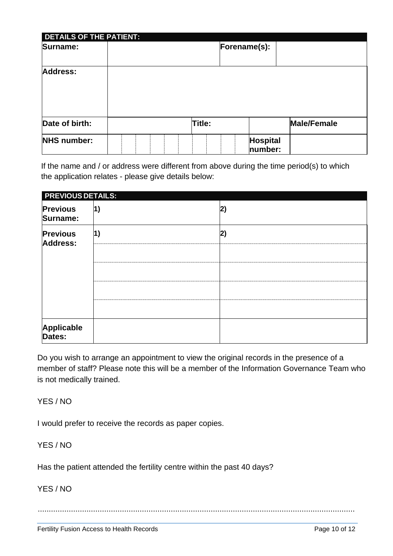| <b>DETAILS OF THE PATIENT:</b> |        |              |                     |                    |
|--------------------------------|--------|--------------|---------------------|--------------------|
| Surname:                       |        | Forename(s): |                     |                    |
| <b>Address:</b>                |        |              |                     |                    |
| Date of birth:                 | Title: |              |                     | <b>Male/Female</b> |
| <b>NHS number:</b>             |        |              | Hospital<br>number: |                    |

If the name and / or address were different from above during the time period(s) to which the application relates - please give details below:

| <b>PREVIOUS DETAILS:</b>           |            |    |
|------------------------------------|------------|----|
| <b>Previous</b><br>Surname:        | $\vert$ 1) | 2) |
| <b>Previous</b><br><b>Address:</b> | 1)         | 2) |
| Applicable<br>Dates:               |            |    |

Do you wish to arrange an appointment to view the original records in the presence of a member of staff? Please note this will be a member of the Information Governance Team who is not medically trained.

YES / NO

I would prefer to receive the records as paper copies.

YES / NO

Has the patient attended the fertility centre within the past 40 days?

YES / NO

...............................................................................................................................................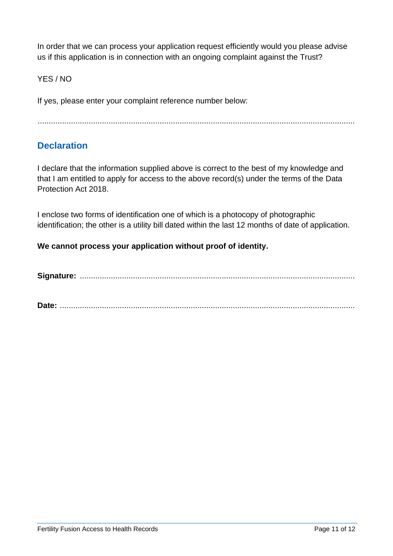In order that we can process your application request efficiently would you please advise us if this application is in connection with an ongoing complaint against the Trust?

#### YES / NO

If yes, please enter your complaint reference number below:

...............................................................................................................................................

## **Declaration**

I declare that the information supplied above is correct to the best of my knowledge and that I am entitled to apply for access to the above record(s) under the terms of the Data Protection Act 2018.

I enclose two forms of identification one of which is a photocopy of photographic identification; the other is a utility bill dated within the last 12 months of date of application.

#### **We cannot process your application without proof of identity.**

**Signature:** ............................................................................................................................

**Date:** .....................................................................................................................................